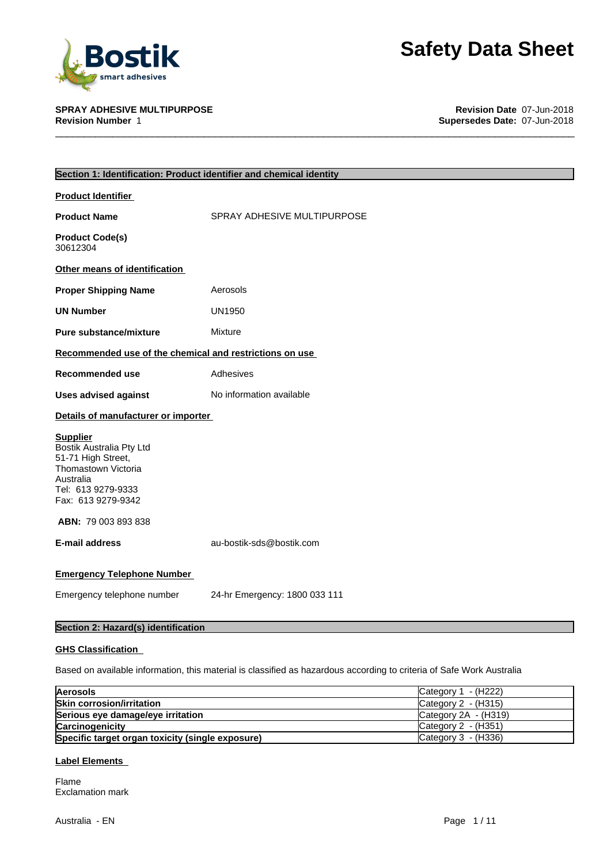

**SPRAY ADHESIVE MULTIPURPOSE Revision Date** 07-Jun-2018 **Supersedes Date: 07-Jun-2018** 

| Section 1: Identification: Product identifier and chemical identity                                                                               |                               |
|---------------------------------------------------------------------------------------------------------------------------------------------------|-------------------------------|
| <b>Product Identifier</b>                                                                                                                         |                               |
| <b>Product Name</b>                                                                                                                               | SPRAY ADHESIVE MULTIPURPOSE   |
| <b>Product Code(s)</b><br>30612304                                                                                                                |                               |
| Other means of identification                                                                                                                     |                               |
| <b>Proper Shipping Name</b>                                                                                                                       | Aerosols                      |
| <b>UN Number</b>                                                                                                                                  | <b>UN1950</b>                 |
| <b>Pure substance/mixture</b>                                                                                                                     | Mixture                       |
| Recommended use of the chemical and restrictions on use                                                                                           |                               |
| Recommended use                                                                                                                                   | Adhesives                     |
| <b>Uses advised against</b>                                                                                                                       | No information available      |
| Details of manufacturer or importer                                                                                                               |                               |
| <b>Supplier</b><br>Bostik Australia Pty Ltd<br>51-71 High Street,<br>Thomastown Victoria<br>Australia<br>Tel: 613 9279-9333<br>Fax: 613 9279-9342 |                               |
| <b>ABN: 79 003 893 838</b>                                                                                                                        |                               |
| E-mail address                                                                                                                                    | au-bostik-sds@bostik.com      |
| <b>Emergency Telephone Number</b>                                                                                                                 |                               |
| Emergency telephone number                                                                                                                        | 24-hr Emergency: 1800 033 111 |
| Section 2: Hazard(s) identification                                                                                                               |                               |

### **GHS Classification**

Based on available information, this material is classified as hazardous according to criteria of Safe Work Australia

| <b>Aerosols</b>                                  | Category $1 - (H222)$       |
|--------------------------------------------------|-----------------------------|
| <b>Skin corrosion/irritation</b>                 | Category $2 - (H315)$       |
| Serious eye damage/eye irritation                | Category $2A - (H319)$      |
| <b>Carcinogenicity</b>                           | Category $2 - (H351)$       |
| Specific target organ toxicity (single exposure) | $\vert$ Category 3 - (H336) |

### **Label Elements**

Flame Exclamation mark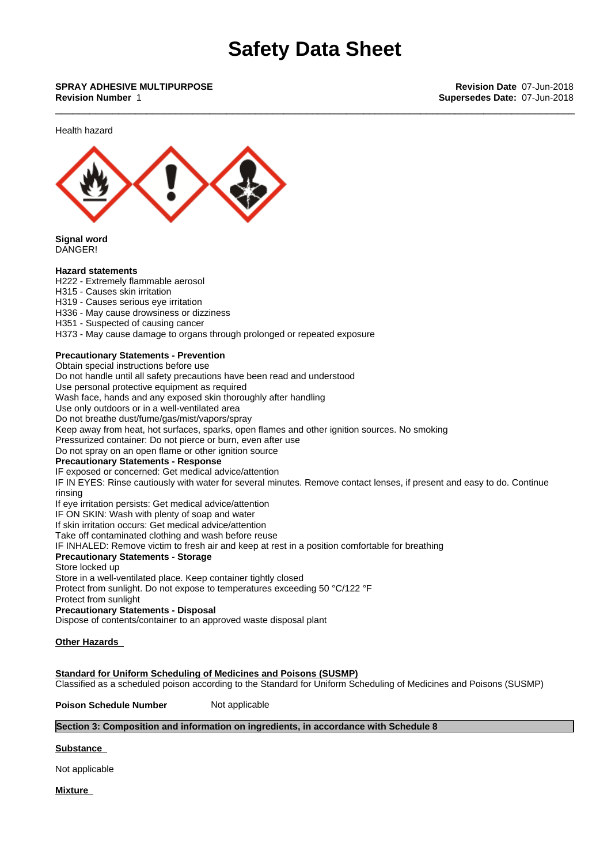\_\_\_\_\_\_\_\_\_\_\_\_\_\_\_\_\_\_\_\_\_\_\_\_\_\_\_\_\_\_\_\_\_\_\_\_\_\_\_\_\_\_\_\_\_\_\_\_\_\_\_\_\_\_\_\_\_\_\_\_\_\_\_\_\_\_\_\_\_\_\_\_\_\_\_\_\_\_\_\_\_\_\_\_\_\_\_\_\_\_\_ **SPRAY ADHESIVE MULTIPURPOSE Revision Date** 07-Jun-2018 **Revision Number** 1 **Supersedes Date:** 07-Jun-2018

Health hazard



**Signal word** DANGER!

#### **Hazard statements**

H222 - Extremely flammable aerosol

- H315 Causes skin irritation
- H319 Causes serious eye irritation
- H336 May cause drowsiness or dizziness
- H351 Suspected of causing cancer

H373 - May cause damage to organs through prolonged or repeated exposure

### **Precautionary Statements - Prevention**

Obtain special instructions before use

Do not handle until all safety precautions have been read and understood

Use personal protective equipment as required

Wash face, hands and any exposed skin thoroughly after handling

Use only outdoors or in a well-ventilated area

Do not breathe dust/fume/gas/mist/vapors/spray

Keep away from heat, hot surfaces, sparks, open flames and other ignition sources. No smoking

Pressurized container: Do not pierce or burn, even after use

Do not spray on an open flame or other ignition source

### **Precautionary Statements - Response**

IF exposed or concerned: Get medical advice/attention

IF IN EYES: Rinse cautiously with water for several minutes. Remove contact lenses, if present and easy to do. Continue rinsing

If eye irritation persists: Get medical advice/attention

IF ON SKIN: Wash with plenty of soap and water

If skin irritation occurs: Get medical advice/attention

Take off contaminated clothing and wash before reuse

IF INHALED: Remove victim to fresh air and keep at rest in a position comfortable for breathing

### **Precautionary Statements - Storage**

Store locked up

Store in a well-ventilated place. Keep container tightly closed

Protect from sunlight. Do not expose to temperatures exceeding 50 °C/122 °F

Protect from sunlight

**Precautionary Statements - Disposal**

Dispose of contents/container to an approved waste disposal plant

### **Other Hazards**

**Standard for Uniform Scheduling of Medicines and Poisons (SUSMP)** Classified as a scheduled poison according to the Standard for Uniform Scheduling of Medicines and Poisons (SUSMP)

**Poison Schedule Number** Not applicable

### **Section 3: Composition and information on ingredients, in accordance with Schedule 8**

**Substance** 

Not applicable

**Mixture**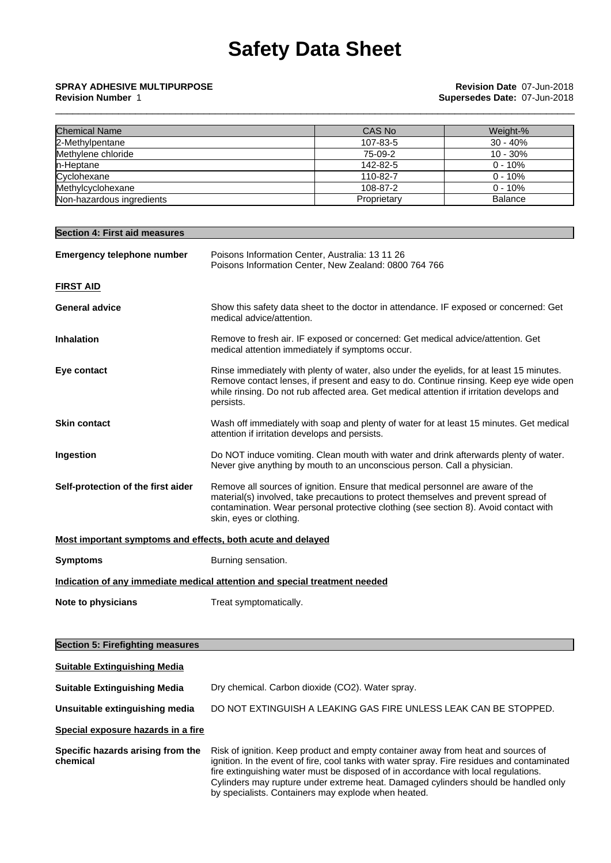| <b>Chemical Name</b>      | CAS No      | Weight-%       |
|---------------------------|-------------|----------------|
| 2-Methylpentane           | 107-83-5    | $30 - 40%$     |
| Methylene chloride        | 75-09-2     | $10 - 30\%$    |
| In-Heptane                | 142-82-5    | $0 - 10%$      |
| Cyclohexane               | 110-82-7    | $0 - 10%$      |
| Methylcyclohexane         | 108-87-2    | $0 - 10%$      |
| Non-hazardous ingredients | Proprietary | <b>Balance</b> |

| <b>Section 4: First aid measures</b>                        |                                                                                                                                                                                                                                                                                              |
|-------------------------------------------------------------|----------------------------------------------------------------------------------------------------------------------------------------------------------------------------------------------------------------------------------------------------------------------------------------------|
| Emergency telephone number                                  | Poisons Information Center, Australia: 13 11 26<br>Poisons Information Center, New Zealand: 0800 764 766                                                                                                                                                                                     |
| <b>FIRST AID</b>                                            |                                                                                                                                                                                                                                                                                              |
| <b>General advice</b>                                       | Show this safety data sheet to the doctor in attendance. IF exposed or concerned: Get<br>medical advice/attention.                                                                                                                                                                           |
| <b>Inhalation</b>                                           | Remove to fresh air. IF exposed or concerned: Get medical advice/attention. Get<br>medical attention immediately if symptoms occur.                                                                                                                                                          |
| Eye contact                                                 | Rinse immediately with plenty of water, also under the eyelids, for at least 15 minutes.<br>Remove contact lenses, if present and easy to do. Continue rinsing. Keep eye wide open<br>while rinsing. Do not rub affected area. Get medical attention if irritation develops and<br>persists. |
| <b>Skin contact</b>                                         | Wash off immediately with soap and plenty of water for at least 15 minutes. Get medical<br>attention if irritation develops and persists.                                                                                                                                                    |
| Ingestion                                                   | Do NOT induce vomiting. Clean mouth with water and drink afterwards plenty of water.<br>Never give anything by mouth to an unconscious person. Call a physician.                                                                                                                             |
| Self-protection of the first aider                          | Remove all sources of ignition. Ensure that medical personnel are aware of the<br>material(s) involved, take precautions to protect themselves and prevent spread of<br>contamination. Wear personal protective clothing (see section 8). Avoid contact with<br>skin, eyes or clothing.      |
| Most important symptoms and effects, both acute and delayed |                                                                                                                                                                                                                                                                                              |
| <b>Symptoms</b>                                             | Burning sensation.                                                                                                                                                                                                                                                                           |
|                                                             | Indication of any immediate medical attention and special treatment needed                                                                                                                                                                                                                   |
| Note to physicians                                          | Treat symptomatically.                                                                                                                                                                                                                                                                       |
| <b>Section 5: Firefighting measures</b>                     |                                                                                                                                                                                                                                                                                              |
| <b>Suitable Extinguishing Media</b>                         |                                                                                                                                                                                                                                                                                              |
| <b>Suitable Extinguishing Media</b>                         | Dry chemical. Carbon dioxide (CO2). Water spray.                                                                                                                                                                                                                                             |
| Unsuitable extinguishing media                              | DO NOT EXTINGUISH A LEAKING GAS FIRE UNLESS LEAK CAN BE STOPPED.                                                                                                                                                                                                                             |
| Special exposure hazards in a fire                          |                                                                                                                                                                                                                                                                                              |
|                                                             |                                                                                                                                                                                                                                                                                              |

**Specific hazards arising from the chemical** Risk of ignition. Keep product and empty container away from heat and sources of ignition. In the event of fire, cool tanks with water spray. Fire residues and contaminated fire extinguishing water must be disposed of in accordance with local regulations. Cylinders may rupture under extreme heat. Damaged cylinders should be handled only by specialists. Containers may explode when heated.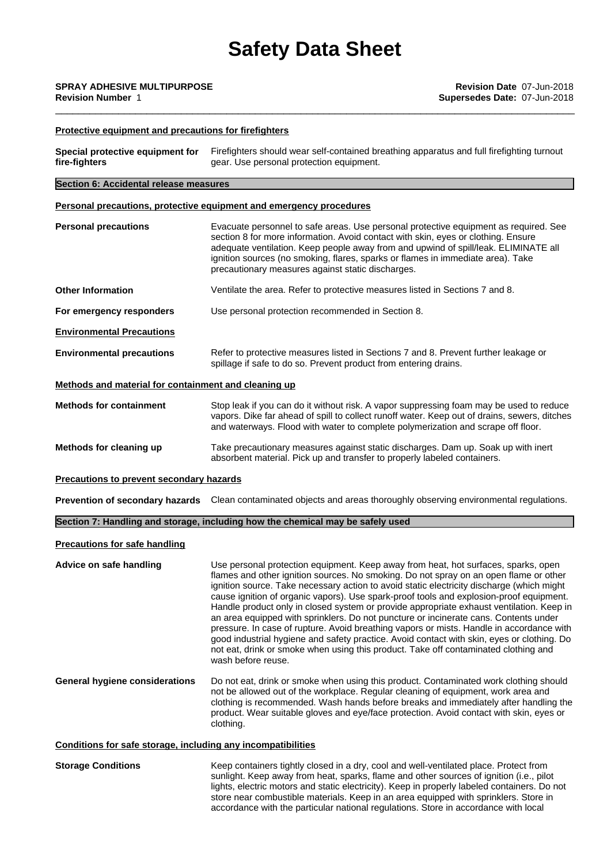### **Protective equipment and precautions for firefighters**

| Special protective equipment for<br>fire-fighters            | Firefighters should wear self-contained breathing apparatus and full firefighting turnout<br>gear. Use personal protection equipment.                                                                                                                                                                                                                                                                                                                                                                                                                                                                                                                                                                                                                                                                                                                          |  |
|--------------------------------------------------------------|----------------------------------------------------------------------------------------------------------------------------------------------------------------------------------------------------------------------------------------------------------------------------------------------------------------------------------------------------------------------------------------------------------------------------------------------------------------------------------------------------------------------------------------------------------------------------------------------------------------------------------------------------------------------------------------------------------------------------------------------------------------------------------------------------------------------------------------------------------------|--|
| Section 6: Accidental release measures                       |                                                                                                                                                                                                                                                                                                                                                                                                                                                                                                                                                                                                                                                                                                                                                                                                                                                                |  |
|                                                              | Personal precautions, protective equipment and emergency procedures                                                                                                                                                                                                                                                                                                                                                                                                                                                                                                                                                                                                                                                                                                                                                                                            |  |
| <b>Personal precautions</b>                                  | Evacuate personnel to safe areas. Use personal protective equipment as required. See<br>section 8 for more information. Avoid contact with skin, eyes or clothing. Ensure<br>adequate ventilation. Keep people away from and upwind of spill/leak. ELIMINATE all<br>ignition sources (no smoking, flares, sparks or flames in immediate area). Take<br>precautionary measures against static discharges.                                                                                                                                                                                                                                                                                                                                                                                                                                                       |  |
| <b>Other Information</b>                                     | Ventilate the area. Refer to protective measures listed in Sections 7 and 8.                                                                                                                                                                                                                                                                                                                                                                                                                                                                                                                                                                                                                                                                                                                                                                                   |  |
| For emergency responders                                     | Use personal protection recommended in Section 8.                                                                                                                                                                                                                                                                                                                                                                                                                                                                                                                                                                                                                                                                                                                                                                                                              |  |
| <b>Environmental Precautions</b>                             |                                                                                                                                                                                                                                                                                                                                                                                                                                                                                                                                                                                                                                                                                                                                                                                                                                                                |  |
| <b>Environmental precautions</b>                             | Refer to protective measures listed in Sections 7 and 8. Prevent further leakage or<br>spillage if safe to do so. Prevent product from entering drains.                                                                                                                                                                                                                                                                                                                                                                                                                                                                                                                                                                                                                                                                                                        |  |
| Methods and material for containment and cleaning up         |                                                                                                                                                                                                                                                                                                                                                                                                                                                                                                                                                                                                                                                                                                                                                                                                                                                                |  |
| <b>Methods for containment</b>                               | Stop leak if you can do it without risk. A vapor suppressing foam may be used to reduce<br>vapors. Dike far ahead of spill to collect runoff water. Keep out of drains, sewers, ditches<br>and waterways. Flood with water to complete polymerization and scrape off floor.                                                                                                                                                                                                                                                                                                                                                                                                                                                                                                                                                                                    |  |
| Methods for cleaning up                                      | Take precautionary measures against static discharges. Dam up. Soak up with inert<br>absorbent material. Pick up and transfer to properly labeled containers.                                                                                                                                                                                                                                                                                                                                                                                                                                                                                                                                                                                                                                                                                                  |  |
| Precautions to prevent secondary hazards                     |                                                                                                                                                                                                                                                                                                                                                                                                                                                                                                                                                                                                                                                                                                                                                                                                                                                                |  |
|                                                              | Prevention of secondary hazards Clean contaminated objects and areas thoroughly observing environmental regulations.                                                                                                                                                                                                                                                                                                                                                                                                                                                                                                                                                                                                                                                                                                                                           |  |
|                                                              | Section 7: Handling and storage, including how the chemical may be safely used                                                                                                                                                                                                                                                                                                                                                                                                                                                                                                                                                                                                                                                                                                                                                                                 |  |
| <b>Precautions for safe handling</b>                         |                                                                                                                                                                                                                                                                                                                                                                                                                                                                                                                                                                                                                                                                                                                                                                                                                                                                |  |
| Advice on safe handling                                      | Use personal protection equipment. Keep away from heat, hot surfaces, sparks, open<br>flames and other ignition sources. No smoking. Do not spray on an open flame or other<br>ignition source. Take necessary action to avoid static electricity discharge (which might<br>cause ignition of organic vapors). Use spark-proof tools and explosion-proof equipment.<br>Handle product only in closed system or provide appropriate exhaust ventilation. Keep in<br>an area equipped with sprinklers. Do not puncture or incinerate cans. Contents under<br>pressure. In case of rupture. Avoid breathing vapors or mists. Handle in accordance with<br>good industrial hygiene and safety practice. Avoid contact with skin, eyes or clothing. Do<br>not eat, drink or smoke when using this product. Take off contaminated clothing and<br>wash before reuse. |  |
| <b>General hygiene considerations</b>                        | Do not eat, drink or smoke when using this product. Contaminated work clothing should<br>not be allowed out of the workplace. Regular cleaning of equipment, work area and<br>clothing is recommended. Wash hands before breaks and immediately after handling the<br>product. Wear suitable gloves and eye/face protection. Avoid contact with skin, eyes or<br>clothing.                                                                                                                                                                                                                                                                                                                                                                                                                                                                                     |  |
| Conditions for safe storage, including any incompatibilities |                                                                                                                                                                                                                                                                                                                                                                                                                                                                                                                                                                                                                                                                                                                                                                                                                                                                |  |
| <b>Storage Conditions</b>                                    | Keep containers tightly closed in a dry, cool and well-ventilated place. Protect from                                                                                                                                                                                                                                                                                                                                                                                                                                                                                                                                                                                                                                                                                                                                                                          |  |

sunlight. Keep away from heat, sparks, flame and other sources of ignition (i.e., pilot lights, electric motors and static electricity). Keep in properly labeled containers. Do not store near combustible materials. Keep in an area equipped with sprinklers. Store in accordance with the particular national regulations. Store in accordance with local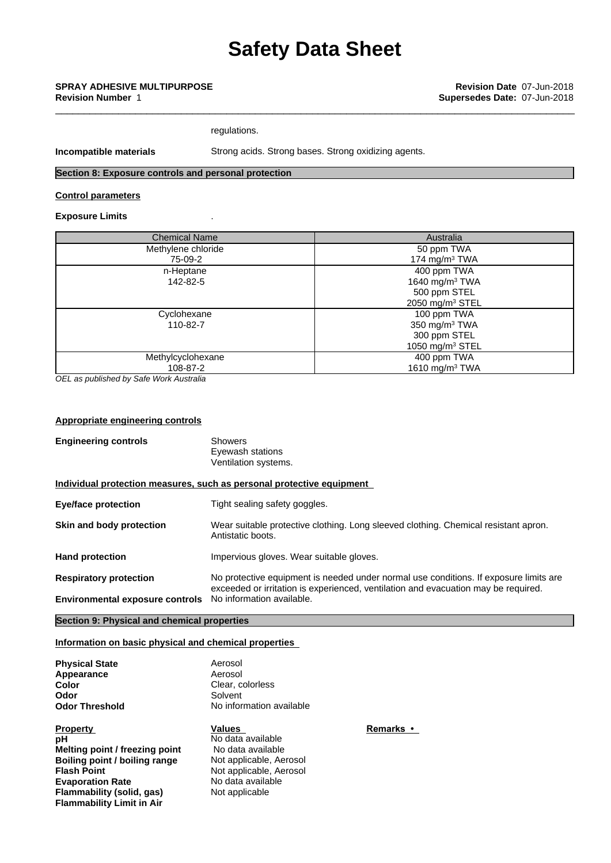### \_\_\_\_\_\_\_\_\_\_\_\_\_\_\_\_\_\_\_\_\_\_\_\_\_\_\_\_\_\_\_\_\_\_\_\_\_\_\_\_\_\_\_\_\_\_\_\_\_\_\_\_\_\_\_\_\_\_\_\_\_\_\_\_\_\_\_\_\_\_\_\_\_\_\_\_\_\_\_\_\_\_\_\_\_\_\_\_\_\_\_ **SPRAY ADHESIVE MULTIPURPOSE Revision Date** 07-Jun-2018 **Revision Number** 1 **Supersedes Date:** 07-Jun-2018

regulations.

**Incompatible materials** Strong acids. Strong bases. Strong oxidizing agents.

### **Section 8: Exposure controls and personal protection**

### **Control parameters**

### **Exposure Limits** .

| <b>Chemical Name</b> | Australia                  |
|----------------------|----------------------------|
| Methylene chloride   | 50 ppm TWA                 |
| 75-09-2              | 174 mg/m $3$ TWA           |
| n-Heptane            | 400 ppm TWA                |
| 142-82-5             | 1640 mg/m <sup>3</sup> TWA |
|                      | 500 ppm STEL               |
|                      | 2050 mg/m $3$ STEL         |
| Cyclohexane          | 100 ppm TWA                |
| 110-82-7             | 350 mg/m $3$ TWA           |
|                      | 300 ppm STEL               |
|                      | 1050 mg/m $3$ STEL         |
| Methylcyclohexane    | 400 ppm TWA                |
| 108-87-2             | 1610 mg/m <sup>3</sup> TWA |

*OEL as published by Safe Work Australia*

### **Appropriate engineering controls**

| <b>Engineering controls</b>                                             | <b>Showers</b><br>Eyewash stations<br>Ventilation systems.                                                                                                                                               |
|-------------------------------------------------------------------------|----------------------------------------------------------------------------------------------------------------------------------------------------------------------------------------------------------|
|                                                                         | Individual protection measures, such as personal protective equipment                                                                                                                                    |
| <b>Eye/face protection</b>                                              | Tight sealing safety goggles.                                                                                                                                                                            |
| Skin and body protection                                                | Wear suitable protective clothing. Long sleeved clothing. Chemical resistant apron.<br>Antistatic boots.                                                                                                 |
| <b>Hand protection</b>                                                  | Impervious gloves. Wear suitable gloves.                                                                                                                                                                 |
| <b>Respiratory protection</b><br><b>Environmental exposure controls</b> | No protective equipment is needed under normal use conditions. If exposure limits are<br>exceeded or irritation is experienced, ventilation and evacuation may be required.<br>No information available. |
|                                                                         |                                                                                                                                                                                                          |

### **Section 9: Physical and chemical properties**

### **Information on basic physical and chemical properties**

| <b>Physical State</b> |
|-----------------------|
| Appearance            |
| Color                 |
| Odor                  |
| Odor Threshold        |
|                       |

**Property Values Remarks• pH** No data available **Melting point / freezing point** No data available<br> **Boiling point / boiling range** Not applicable, Aerosol **Boiling point / boiling range Flash Point** Not applicable, Aerosol **Evaporation Rate** No data available<br> **Flammability (solid, gas)** Not applicable **Flammability** (solid, gas) **Flammability Limit in Air**

Aerosol Aerosol **Clear, colorless Solvent No information available**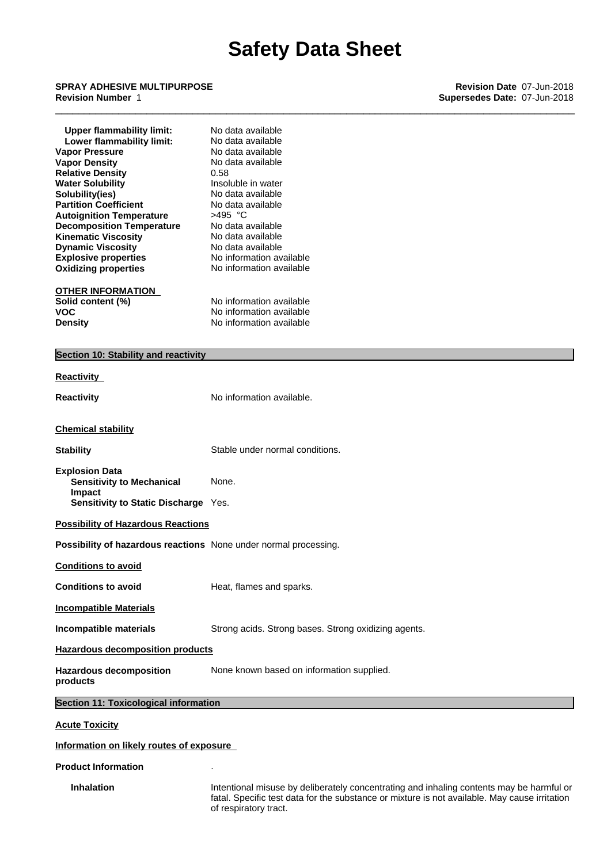### \_\_\_\_\_\_\_\_\_\_\_\_\_\_\_\_\_\_\_\_\_\_\_\_\_\_\_\_\_\_\_\_\_\_\_\_\_\_\_\_\_\_\_\_\_\_\_\_\_\_\_\_\_\_\_\_\_\_\_\_\_\_\_\_\_\_\_\_\_\_\_\_\_\_\_\_\_\_\_\_\_\_\_\_\_\_\_\_\_\_\_ **SPRAY ADHESIVE MULTIPURPOSE Revision Date** 07-Jun-2018 **Revision Number** 1 **Supersedes Date:** 07-Jun-2018

| <b>Upper flammability limit:</b><br>Lower flammability limit:<br><b>Vapor Pressure</b><br><b>Vapor Density</b><br><b>Relative Density</b><br><b>Water Solubility</b><br>Solubility(ies)<br><b>Partition Coefficient</b> | No data available<br>No data available<br>No data available<br>No data available<br>0.58<br>Insoluble in water<br>No data available<br>No data available                                                           |
|-------------------------------------------------------------------------------------------------------------------------------------------------------------------------------------------------------------------------|--------------------------------------------------------------------------------------------------------------------------------------------------------------------------------------------------------------------|
| <b>Autoignition Temperature</b><br><b>Decomposition Temperature</b><br><b>Kinematic Viscosity</b><br><b>Dynamic Viscosity</b>                                                                                           | $>495$ °C<br>No data available<br>No data available<br>No data available                                                                                                                                           |
| <b>Explosive properties</b><br><b>Oxidizing properties</b>                                                                                                                                                              | No information available<br>No information available                                                                                                                                                               |
| <b>OTHER INFORMATION</b><br>Solid content (%)<br><b>VOC</b><br><b>Density</b>                                                                                                                                           | No information available<br>No information available<br>No information available                                                                                                                                   |
| Section 10: Stability and reactivity                                                                                                                                                                                    |                                                                                                                                                                                                                    |
| <b>Reactivity</b>                                                                                                                                                                                                       |                                                                                                                                                                                                                    |
| <b>Reactivity</b>                                                                                                                                                                                                       | No information available.                                                                                                                                                                                          |
| <b>Chemical stability</b>                                                                                                                                                                                               |                                                                                                                                                                                                                    |
| <b>Stability</b>                                                                                                                                                                                                        | Stable under normal conditions.                                                                                                                                                                                    |
| <b>Explosion Data</b><br><b>Sensitivity to Mechanical</b><br>Impact<br>Sensitivity to Static Discharge Yes.                                                                                                             | None.                                                                                                                                                                                                              |
| <b>Possibility of Hazardous Reactions</b>                                                                                                                                                                               |                                                                                                                                                                                                                    |
| Possibility of hazardous reactions None under normal processing.                                                                                                                                                        |                                                                                                                                                                                                                    |
| <b>Conditions to avoid</b>                                                                                                                                                                                              |                                                                                                                                                                                                                    |
| <b>Conditions to avoid</b>                                                                                                                                                                                              | Heat, flames and sparks.                                                                                                                                                                                           |
| <b>Incompatible Materials</b>                                                                                                                                                                                           |                                                                                                                                                                                                                    |
| Incompatible materials                                                                                                                                                                                                  | Strong acids. Strong bases. Strong oxidizing agents.                                                                                                                                                               |
| <b>Hazardous decomposition products</b>                                                                                                                                                                                 |                                                                                                                                                                                                                    |
| <b>Hazardous decomposition</b><br>products                                                                                                                                                                              | None known based on information supplied.                                                                                                                                                                          |
| <b>Section 11: Toxicological information</b>                                                                                                                                                                            |                                                                                                                                                                                                                    |
| <b>Acute Toxicity</b>                                                                                                                                                                                                   |                                                                                                                                                                                                                    |
| Information on likely routes of exposure                                                                                                                                                                                |                                                                                                                                                                                                                    |
| <b>Product Information</b>                                                                                                                                                                                              |                                                                                                                                                                                                                    |
| <b>Inhalation</b>                                                                                                                                                                                                       | Intentional misuse by deliberately concentrating and inhaling contents may be harmful or<br>fatal. Specific test data for the substance or mixture is not available. May cause irritation<br>of respiratory tract. |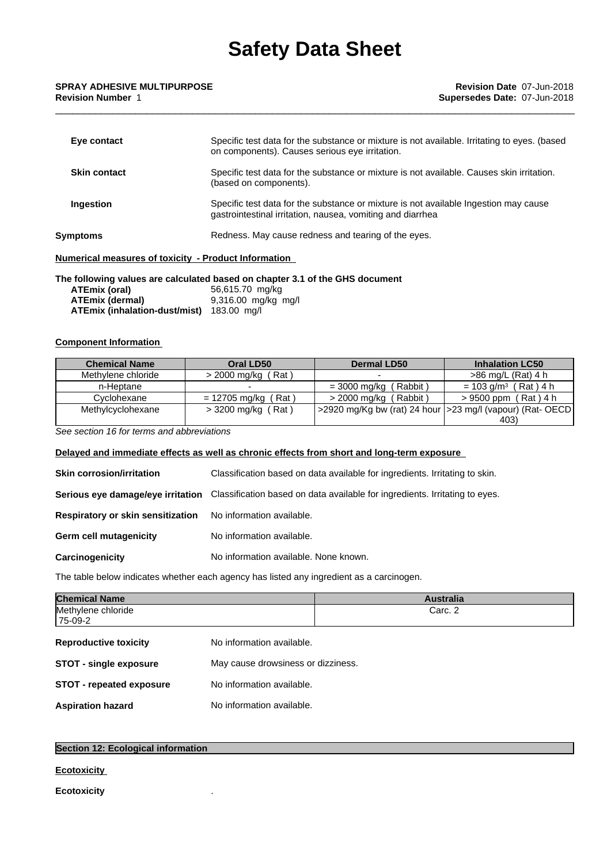| Eye contact                                          | Specific test data for the substance or mixture is not available. Irritating to eyes. (based<br>on components). Causes serious eye irritation.     |
|------------------------------------------------------|----------------------------------------------------------------------------------------------------------------------------------------------------|
| <b>Skin contact</b>                                  | Specific test data for the substance or mixture is not available. Causes skin irritation.<br>(based on components).                                |
| Ingestion                                            | Specific test data for the substance or mixture is not available Ingestion may cause<br>gastrointestinal irritation, nausea, vomiting and diarrhea |
| Symptoms                                             | Redness. May cause redness and tearing of the eyes.                                                                                                |
| Numerical measures of toxicity - Product Information |                                                                                                                                                    |

#### **The following values are calculated based on chapter 3.1 of the GHS document**

| ATEmix (oral)                             | 56,615.70 mg/kg       |
|-------------------------------------------|-----------------------|
| <b>ATEmix (dermal)</b>                    | $9,316.00$ mg/kg mg/l |
| ATEmix (inhalation-dust/mist) 183.00 mg/l |                       |

### **Component Information**

| <b>Chemical Name</b> | Oral LD50             | <b>Dermal LD50</b>                                             | <b>Inhalation LC50</b>             |
|----------------------|-----------------------|----------------------------------------------------------------|------------------------------------|
| Methylene chloride   | (Rat)<br>> 2000 mg/kg |                                                                | $>86$ mg/L (Rat) 4 h               |
| n-Heptane            |                       | (Rabbit)<br>$= 3000$ mg/kg (                                   | $= 103$ g/m <sup>3</sup> (Rat) 4 h |
| Cvclohexane          | = 12705 mg/kg (Rat)   | $>$ 2000 mg/kg (Rabbit)                                        | > 9500 ppm (Rat) 4 h               |
| Methylcyclohexane    | > 3200 mg/kg (Rat)    | ' >2920 mg/Kg bw (rat) 24 hour   > 23 mg/l (vapour) (Rat- OECD |                                    |
|                      |                       |                                                                | 403)                               |

*See section 16 for terms and abbreviations*

### **Delayed and immediate effects as well as chronic effects from short and long-term exposure**

**Skin corrosion/irritation** Classification based on data available for ingredients. Irritating to skin. **Serious eye damage/eye irritation** Classification based on data available for ingredients. Irritating to eyes. **Respiratory or skin sensitization** No information available. **Germ cell mutagenicity** No information available. **Carcinogenicity** No information available. None known.

The table below indicates whether each agency has listed any ingredient as a carcinogen.

|                                    | <b>Australia</b> |
|------------------------------------|------------------|
|                                    | Carc. 2          |
| No information available.          |                  |
| May cause drowsiness or dizziness. |                  |
| No information available.          |                  |
| No information available.          |                  |
|                                    |                  |

### **Section 12: Ecological information**

### **Ecotoxicity**

**Ecotoxicity** .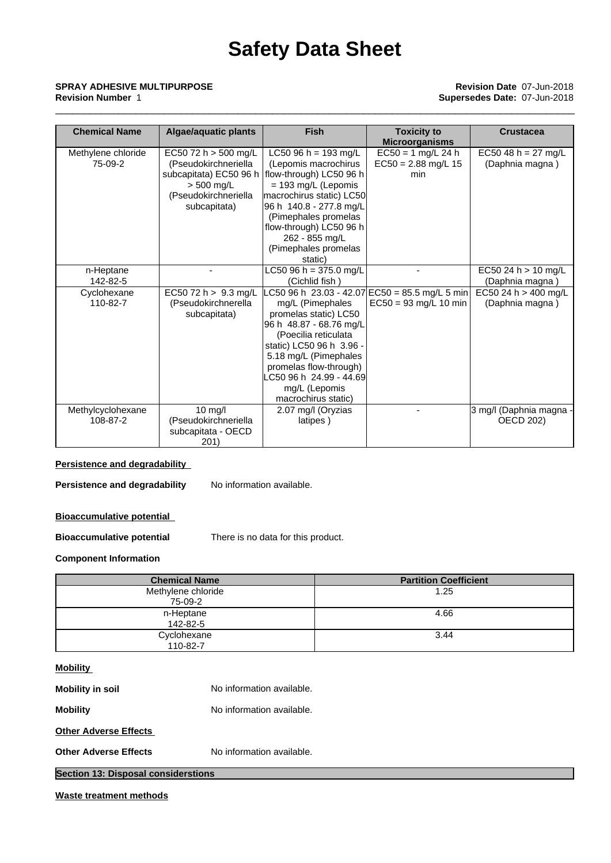### \_\_\_\_\_\_\_\_\_\_\_\_\_\_\_\_\_\_\_\_\_\_\_\_\_\_\_\_\_\_\_\_\_\_\_\_\_\_\_\_\_\_\_\_\_\_\_\_\_\_\_\_\_\_\_\_\_\_\_\_\_\_\_\_\_\_\_\_\_\_\_\_\_\_\_\_\_\_\_\_\_\_\_\_\_\_\_\_\_\_\_ **SPRAY ADHESIVE MULTIPURPOSE Revision Date** 07-Jun-2018 **Revision Number** 1 **Supersedes Date:** 07-Jun-2018

| <b>Chemical Name</b>                | <b>Algae/aquatic plants</b>                                                                          | <b>Fish</b>                                                                                                                                                                                                                                                                                | <b>Toxicity to</b><br><b>Microorganisms</b>                                 | <b>Crustacea</b>                                           |
|-------------------------------------|------------------------------------------------------------------------------------------------------|--------------------------------------------------------------------------------------------------------------------------------------------------------------------------------------------------------------------------------------------------------------------------------------------|-----------------------------------------------------------------------------|------------------------------------------------------------|
| Methylene chloride<br>75-09-2       | EC50 72 h > 500 mg/L<br>(Pseudokirchneriella<br>$> 500$ mg/L<br>(Pseudokirchneriella<br>subcapitata) | LC50 96 h = 193 mg/L<br>(Lepomis macrochirus<br>subcapitata) EC50 96 h   flow-through) LC50 96 h<br>$= 193$ mg/L (Lepomis<br>macrochirus static) LC50<br> 96 h  140.8 - 277.8 mg/L<br>(Pimephales promelas<br>flow-through) LC50 96 h<br>262 - 855 mg/L<br>(Pimephales promelas<br>static) | $EC50 = 1$ mg/L 24 h<br>$EC50 = 2.88$ mg/L 15<br>min                        | EC50 48 h = $27$ mg/L<br>(Daphnia magna)                   |
| n-Heptane                           |                                                                                                      | LC50 96 h = 375.0 mg/L                                                                                                                                                                                                                                                                     |                                                                             | EC50 24 h > 10 mg/L                                        |
| 142-82-5<br>Cyclohexane<br>110-82-7 | EC50 72 h > 9.3 mg/L<br>(Pseudokirchnerella<br>subcapitata)                                          | (Cichlid fish)<br>mg/L (Pimephales<br>promelas static) LC50<br>96 h 48.87 - 68.76 mg/L<br>(Poecilia reticulata<br>static) LC50 96 h 3.96 -<br>5.18 mg/L (Pimephales<br>promelas flow-through)<br>LC50 96 h 24.99 - 44.69<br>mg/L (Lepomis<br>macrochirus static)                           | LC50 96 h 23.03 - 42.07 EC50 = 85.5 mg/L 5 min  <br>$EC50 = 93$ mg/L 10 min | (Daphnia magna)<br>EC50 24 h > 400 mg/L<br>(Daphnia magna) |
| Methylcyclohexane<br>108-87-2       | $10$ mg/l<br>(Pseudokirchneriella<br>subcapitata - OECD<br>201)                                      | 2.07 mg/l (Oryzias<br>latipes)                                                                                                                                                                                                                                                             |                                                                             | 3 mg/l (Daphnia magna -<br><b>OECD 202)</b>                |

### **Persistence and degradability**

**Persistence and degradability** No information available.

### **Bioaccumulative potential**

**Bioaccumulative potential** There is no data for this product.

### **Component Information**

| <b>Chemical Name</b> | <b>Partition Coefficient</b> |
|----------------------|------------------------------|
| Methylene chloride   | 1.25                         |
| 75-09-2              |                              |
| n-Heptane            | 4.66                         |
| 142-82-5             |                              |
| Cyclohexane          | 3.44                         |
| 110-82-7             |                              |

### **Mobility**

| Waste treatment methods                    |                           |  |
|--------------------------------------------|---------------------------|--|
| <b>Section 13: Disposal considerstions</b> |                           |  |
| <b>Other Adverse Effects</b>               | No information available. |  |
| <b>Other Adverse Effects</b>               |                           |  |
| <b>Mobility</b>                            | No information available. |  |
| <b>Mobility in soil</b>                    | No information available. |  |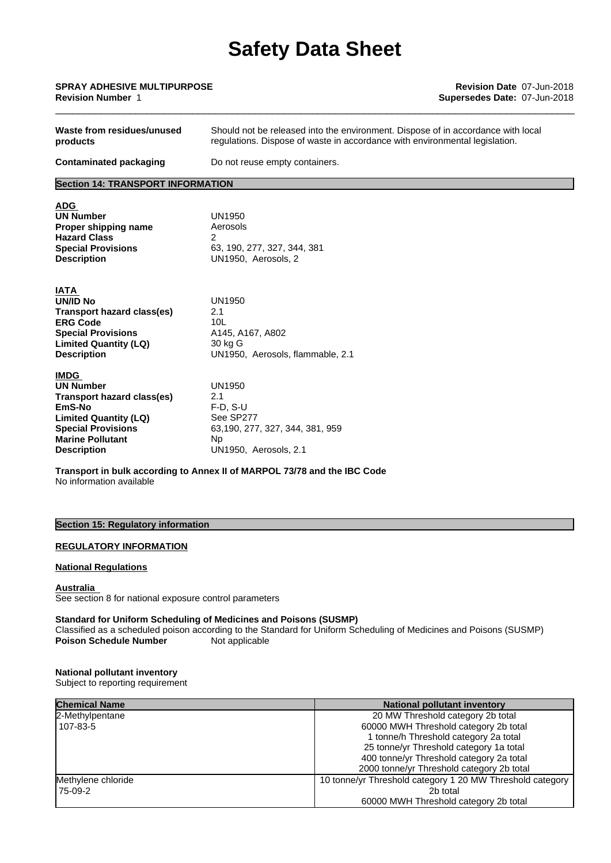| <b>SPRAY ADHESIVE MULTIPURPOSE</b> | <b>Revision Date 07-Jun-2018</b> |
|------------------------------------|----------------------------------|
| <b>Revision Number</b>             | Supersedes Date: 07-Jun-2018     |
|                                    |                                  |

| Waste from residues/unused<br>products   | Should not be released into the environment. Dispose of in accordance with local<br>regulations. Dispose of waste in accordance with environmental legislation. |  |  |
|------------------------------------------|-----------------------------------------------------------------------------------------------------------------------------------------------------------------|--|--|
| <b>Contaminated packaging</b>            | Do not reuse empty containers.                                                                                                                                  |  |  |
| <b>Section 14: TRANSPORT INFORMATION</b> |                                                                                                                                                                 |  |  |
| <b>ADG</b>                               |                                                                                                                                                                 |  |  |
| <b>UN Number</b>                         | UN1950                                                                                                                                                          |  |  |
| Proper shipping name                     | Aerosols                                                                                                                                                        |  |  |
| <b>Hazard Class</b>                      | 2                                                                                                                                                               |  |  |
| <b>Special Provisions</b>                | 63, 190, 277, 327, 344, 381                                                                                                                                     |  |  |
| <b>Description</b>                       | UN1950, Aerosols, 2                                                                                                                                             |  |  |
| <b>IATA</b>                              |                                                                                                                                                                 |  |  |
| <b>UN/ID No</b>                          | <b>UN1950</b>                                                                                                                                                   |  |  |
| Transport hazard class(es)               | 2.1                                                                                                                                                             |  |  |
| <b>ERG Code</b>                          | 10 <sub>L</sub>                                                                                                                                                 |  |  |
| <b>Special Provisions</b>                | A145, A167, A802                                                                                                                                                |  |  |
| <b>Limited Quantity (LQ)</b>             | 30 kg G                                                                                                                                                         |  |  |
| <b>Description</b>                       | UN1950, Aerosols, flammable, 2.1                                                                                                                                |  |  |
| <b>IMDG</b>                              |                                                                                                                                                                 |  |  |
| <b>UN Number</b>                         | <b>UN1950</b>                                                                                                                                                   |  |  |
| <b>Transport hazard class(es)</b>        | 2.1                                                                                                                                                             |  |  |
| EmS-No                                   | $F-D. S-U$                                                                                                                                                      |  |  |
| <b>Limited Quantity (LQ)</b>             | See SP277                                                                                                                                                       |  |  |
| <b>Special Provisions</b>                | 63,190, 277, 327, 344, 381, 959                                                                                                                                 |  |  |
| <b>Marine Pollutant</b>                  | Np.                                                                                                                                                             |  |  |
| <b>Description</b>                       | UN1950, Aerosols, 2.1                                                                                                                                           |  |  |
| No information available                 | Transport in bulk according to Annex II of MARPOL 73/78 and the IBC Code                                                                                        |  |  |

### **Section 15: Regulatory information**

### **REGULATORY INFORMATION**

### **National Regulations**

#### **Australia**

See section 8 for national exposure control parameters

### **Standard for Uniform Scheduling of Medicines and Poisons (SUSMP)**

Classified as a scheduled poison according to the Standard for Uniform Schedulingof Medicines and Poisons (SUSMP) **Poison Schedule Number** Not applicable

#### **National pollutant inventory**

Subject to reporting requirement

| <b>Chemical Name</b> | <b>National pollutant inventory</b>                       |
|----------------------|-----------------------------------------------------------|
| 2-Methylpentane      | 20 MW Threshold category 2b total                         |
| 107-83-5             | 60000 MWH Threshold category 2b total                     |
|                      | 1 tonne/h Threshold category 2a total                     |
|                      | 25 tonne/yr Threshold category 1a total                   |
|                      | 400 tonne/yr Threshold category 2a total                  |
|                      | 2000 tonne/yr Threshold category 2b total                 |
| Methylene chloride   | 10 tonne/yr Threshold category 1 20 MW Threshold category |
| 175-09-2             | 2b total                                                  |
|                      | 60000 MWH Threshold category 2b total                     |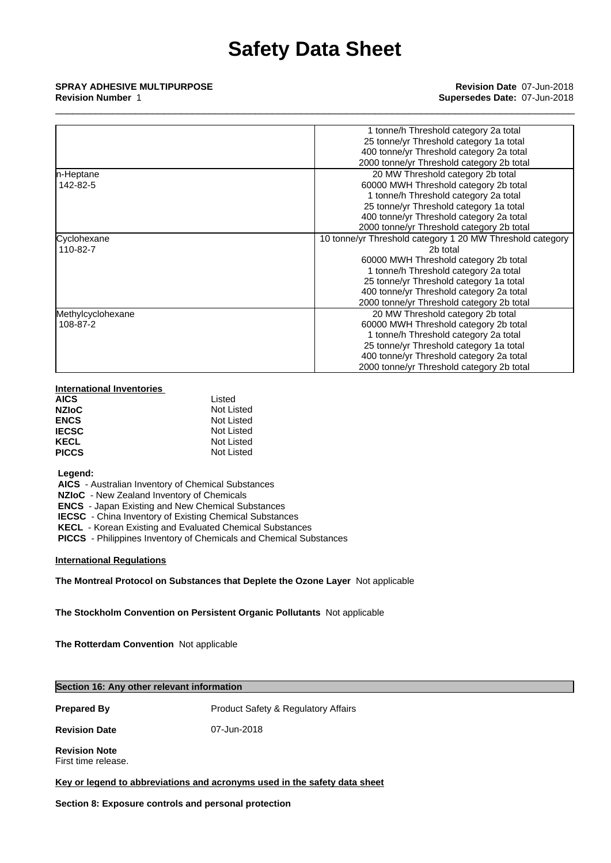|                   | 1 tonne/h Threshold category 2a total                     |
|-------------------|-----------------------------------------------------------|
|                   | 25 tonne/yr Threshold category 1a total                   |
|                   | 400 tonne/yr Threshold category 2a total                  |
|                   | 2000 tonne/yr Threshold category 2b total                 |
| n-Heptane         | 20 MW Threshold category 2b total                         |
| 142-82-5          | 60000 MWH Threshold category 2b total                     |
|                   | 1 tonne/h Threshold category 2a total                     |
|                   | 25 tonne/yr Threshold category 1a total                   |
|                   | 400 tonne/yr Threshold category 2a total                  |
|                   | 2000 tonne/yr Threshold category 2b total                 |
| Cyclohexane       | 10 tonne/yr Threshold category 1 20 MW Threshold category |
| 110-82-7          | 2b total                                                  |
|                   | 60000 MWH Threshold category 2b total                     |
|                   | 1 tonne/h Threshold category 2a total                     |
|                   | 25 tonne/yr Threshold category 1a total                   |
|                   | 400 tonne/yr Threshold category 2a total                  |
|                   | 2000 tonne/yr Threshold category 2b total                 |
| Methylcyclohexane | 20 MW Threshold category 2b total                         |
| 108-87-2          | 60000 MWH Threshold category 2b total                     |
|                   | 1 tonne/h Threshold category 2a total                     |
|                   | 25 tonne/yr Threshold category 1a total                   |
|                   | 400 tonne/yr Threshold category 2a total                  |
|                   | 2000 tonne/yr Threshold category 2b total                 |

### **International Inventories**

| <b>AICS</b>  | Listed     |
|--------------|------------|
| <b>NZIoC</b> | Not Listed |
| <b>ENCS</b>  | Not Listed |
| <b>IECSC</b> | Not Listed |
| <b>KECL</b>  | Not Listed |
| <b>PICCS</b> | Not Listed |

 **Legend:**

 **AICS** - Australian Inventory of Chemical Substances

 **NZIoC** - New Zealand Inventory of Chemicals

 **ENCS** - Japan Existing and New Chemical Substances

 **IECSC** - China Inventory of Existing Chemical Substances

 **KECL** - Korean Existing and Evaluated Chemical Substances

 **PICCS** - Philippines Inventory of Chemicals and Chemical Substances

**International Regulations**

**The Montreal Protocol on Substances that Deplete the Ozone Layer** Notapplicable

**The Stockholm Convention on Persistent Organic Pollutants** Not applicable

**The Rotterdam Convention** Not applicable

### **Section 16: Any other relevant information**

**Prepared By** Product Safety & Regulatory Affairs

**Revision Date** 07-Jun-2018

**Revision Note** First time release.

**Key or legend to abbreviations and acronyms used in the safety data sheet**

**Section 8: Exposure controls and personal protection**